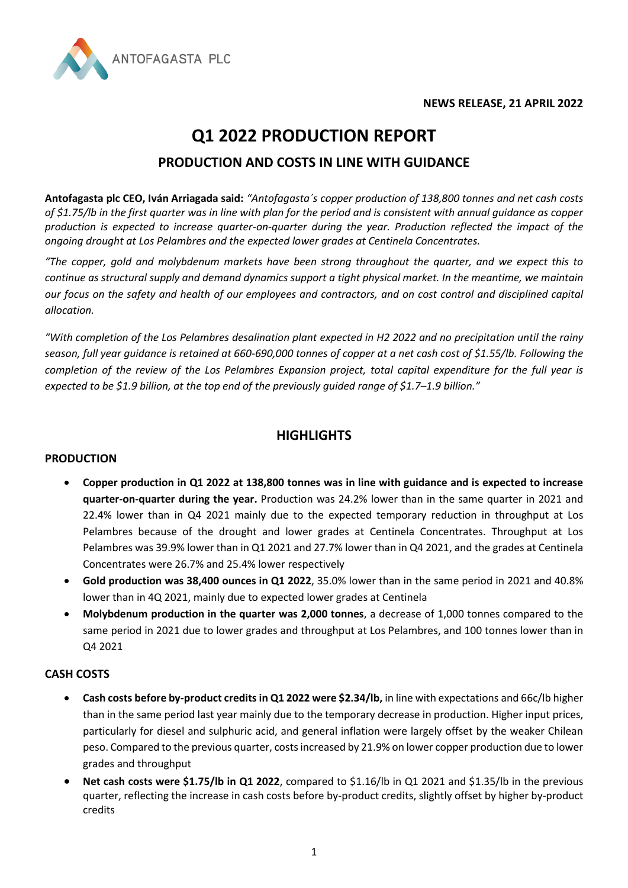



# **Q1 2022 PRODUCTION REPORT**

## **PRODUCTION AND COSTS IN LINE WITH GUIDANCE**

**Antofagasta plc CEO, Iván Arriagada said:** *"Antofagasta´s copper production of 138,800 tonnes and net cash costs of \$1.75/lb in the first quarter was in line with plan for the period and is consistent with annual guidance as copper production is expected to increase quarter-on-quarter during the year. Production reflected the impact of the ongoing drought at Los Pelambres and the expected lower grades at Centinela Concentrates.* 

*"The copper, gold and molybdenum markets have been strong throughout the quarter, and we expect this to continue as structural supply and demand dynamics support a tight physical market. In the meantime, we maintain our focus on the safety and health of our employees and contractors, and on cost control and disciplined capital allocation.* 

*"With completion of the Los Pelambres desalination plant expected in H2 2022 and no precipitation until the rainy season, full year guidance is retained at 660-690,000 tonnes of copper at a net cash cost of \$1.55/lb. Following the completion of the review of the Los Pelambres Expansion project, total capital expenditure for the full year is expected to be \$1.9 billion, at the top end of the previously guided range of \$1.7–1.9 billion."*

## **HIGHLIGHTS**

#### **PRODUCTION**

- **Copper production in Q1 2022 at 138,800 tonnes was in line with guidance and is expected to increase quarter-on-quarter during the year.** Production was 24.2% lower than in the same quarter in 2021 and 22.4% lower than in Q4 2021 mainly due to the expected temporary reduction in throughput at Los Pelambres because of the drought and lower grades at Centinela Concentrates. Throughput at Los Pelambres was 39.9% lower than in Q1 2021 and 27.7% lower than in Q4 2021, and the grades at Centinela Concentrates were 26.7% and 25.4% lower respectively
- **Gold production was 38,400 ounces in Q1 2022**, 35.0% lower than in the same period in 2021 and 40.8% lower than in 4Q 2021, mainly due to expected lower grades at Centinela
- **Molybdenum production in the quarter was 2,000 tonnes**, a decrease of 1,000 tonnes compared to the same period in 2021 due to lower grades and throughput at Los Pelambres, and 100 tonnes lower than in Q4 2021

## **CASH COSTS**

- **Cash costs before by-product credits in Q1 2022 were \$2.34/lb,** in line with expectations and 66c/lb higher than in the same period last year mainly due to the temporary decrease in production. Higher input prices, particularly for diesel and sulphuric acid, and general inflation were largely offset by the weaker Chilean peso. Compared to the previous quarter, costs increased by 21.9% on lower copper production due to lower grades and throughput
- **Net cash costs were \$1.75/lb in Q1 2022**, compared to \$1.16/lb in Q1 2021 and \$1.35/lb in the previous quarter, reflecting the increase in cash costs before by-product credits, slightly offset by higher by-product credits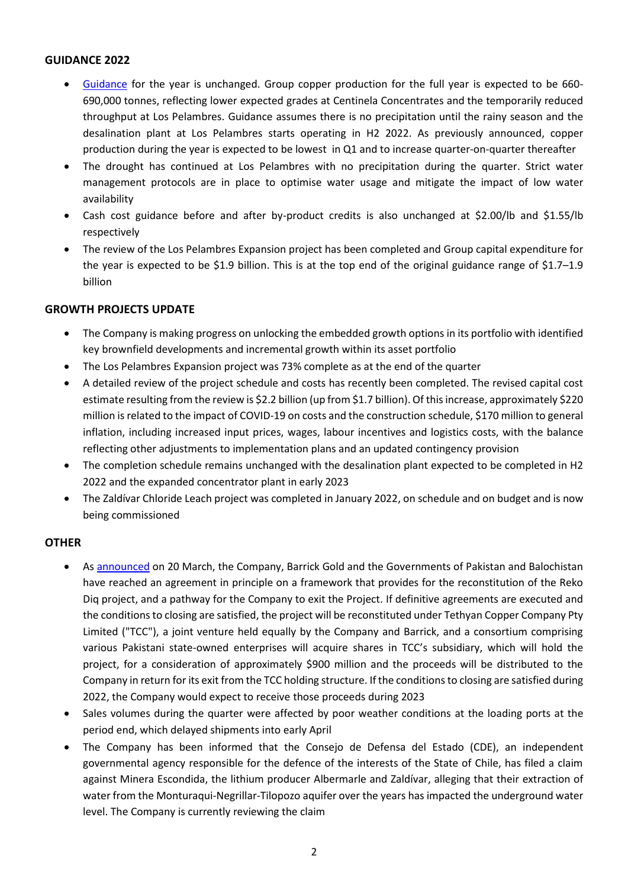#### **GUIDANCE 2022**

- [Guidance](https://www.antofagasta.co.uk/media/4241/aplc21q4prodreport-vf.pdf) for the year is unchanged. Group copper production for the full year is expected to be 660- 690,000 tonnes, reflecting lower expected grades at Centinela Concentrates and the temporarily reduced throughput at Los Pelambres. Guidance assumes there is no precipitation until the rainy season and the desalination plant at Los Pelambres starts operating in H2 2022. As previously announced, copper production during the year is expected to be lowest in Q1 and to increase quarter-on-quarter thereafter
- The drought has continued at Los Pelambres with no precipitation during the quarter. Strict water management protocols are in place to optimise water usage and mitigate the impact of low water availability
- Cash cost guidance before and after by-product credits is also unchanged at \$2.00/lb and \$1.55/lb respectively
- The review of the Los Pelambres Expansion project has been completed and Group capital expenditure for the year is expected to be \$1.9 billion. This is at the top end of the original guidance range of \$1.7–1.9 billion

#### **GROWTH PROJECTS UPDATE**

- The Company is making progress on unlocking the embedded growth options in its portfolio with identified key brownfield developments and incremental growth within its asset portfolio
- The Los Pelambres Expansion project was 73% complete as at the end of the quarter
- A detailed review of the project schedule and costs has recently been completed. The revised capital cost estimate resulting from the review is \$2.2 billion (up from \$1.7 billion). Of this increase, approximately \$220 million is related to the impact of COVID-19 on costs and the construction schedule, \$170 million to general inflation, including increased input prices, wages, labour incentives and logistics costs, with the balance reflecting other adjustments to implementation plans and an updated contingency provision
- The completion schedule remains unchanged with the desalination plant expected to be completed in H2 2022 and the expanded concentrator plant in early 2023
- The Zaldívar Chloride Leach project was completed in January 2022, on schedule and on budget and is now being commissioned

#### **OTHER**

- As [announced](https://www.antofagasta.co.uk/media/4265/anto-rd-announcement-mar2022.pdf) on 20 March, the Company, Barrick Gold and the Governments of Pakistan and Balochistan have reached an agreement in principle on a framework that provides for the reconstitution of the Reko Diq project, and a pathway for the Company to exit the Project. If definitive agreements are executed and the conditions to closing are satisfied, the project will be reconstituted under Tethyan Copper Company Pty Limited ("TCC"), a joint venture held equally by the Company and Barrick, and a consortium comprising various Pakistani state-owned enterprises will acquire shares in TCC's subsidiary, which will hold the project, for a consideration of approximately \$900 million and the proceeds will be distributed to the Company in return for its exit from the TCC holding structure. If the conditions to closing are satisfied during 2022, the Company would expect to receive those proceeds during 2023
- Sales volumes during the quarter were affected by poor weather conditions at the loading ports at the period end, which delayed shipments into early April
- The Company has been informed that the Consejo de Defensa del Estado (CDE), an independent governmental agency responsible for the defence of the interests of the State of Chile, has filed a claim against Minera Escondida, the lithium producer Albermarle and Zaldívar, alleging that their extraction of water from the Monturaqui-Negrillar-Tilopozo aquifer over the years has impacted the underground water level. The Company is currently reviewing the claim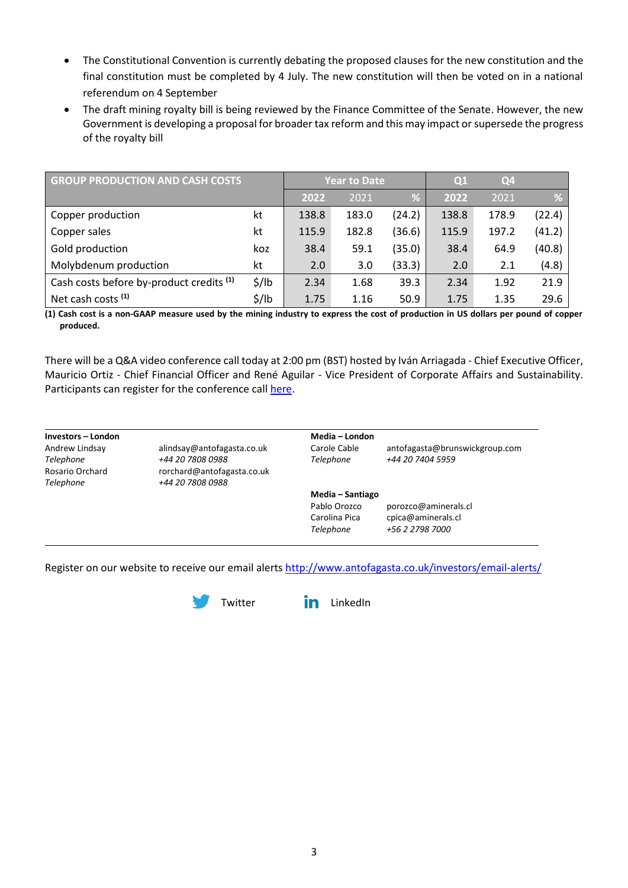- The Constitutional Convention is currently debating the proposed clauses for the new constitution and the final constitution must be completed by 4 July. The new constitution will then be voted on in a national referendum on 4 September
- The draft mining royalty bill is being reviewed by the Finance Committee of the Senate. However, the new Government is developing a proposal for broader tax reform and this may impact or supersede the progress of the royalty bill

| <b>GROUP PRODUCTION AND CASH COSTS</b>              |                   |       | <b>Year to Date</b> |        | Q <sub>1</sub> | Q <sub>4</sub> |        |
|-----------------------------------------------------|-------------------|-------|---------------------|--------|----------------|----------------|--------|
|                                                     |                   | 2022  | 2021                | %      | 2022           | 2021           | %      |
| Copper production                                   | kt                | 138.8 | 183.0               | (24.2) | 138.8          | 178.9          | (22.4) |
| Copper sales                                        | kt                | 115.9 | 182.8               | (36.6) | 115.9          | 197.2          | (41.2) |
| Gold production                                     | koz               | 38.4  | 59.1                | (35.0) | 38.4           | 64.9           | (40.8) |
| Molybdenum production                               | kt                | 2.0   | 3.0                 | (33.3) | 2.0            | 2.1            | (4.8)  |
| Cash costs before by-product credits <sup>(1)</sup> | $\frac{1}{2}$ /lb | 2.34  | 1.68                | 39.3   | 2.34           | 1.92           | 21.9   |
| Net cash costs <sup>(1)</sup>                       | $\frac{1}{2}$ /lb | 1.75  | 1.16                | 50.9   | 1.75           | 1.35           | 29.6   |

**(1) Cash cost is a non-GAAP measure used by the mining industry to express the cost of production in US dollars per pound of copper produced.**

There will be a Q&A video conference call today at 2:00 pm (BST) hosted by Iván Arriagada - Chief Executive Officer, Mauricio Ortiz - Chief Financial Officer and René Aguilar - Vice President of Corporate Affairs and Sustainability. Participants can register for the conference call [here.](https://us02web.zoom.us/webinar/register/WN_Sj79lw7vSHGaG1xDhKCW9Q)

**Investors – London Media – London** *Telephone +44 20 7808 0988*

*Telephone +44 20 7808 0988 Telephone +44 20 7404 5959* Rosario Orchard rorchard@antofagasta.co.uk

Andrew Lindsay alindsay@antofagasta.co.uk Carole Cable antofagasta@brunswickgroup.com

**Media – Santiago** 

Pablo Orozco porozco@aminerals.cl Carolina Pica cpica@aminerals.cl *Telephone +56 2 2798 7000*

Register on our website to receive our email alert[s http://www.antofagasta.co.uk/investors/email-alerts/](https://www.antofagasta.co.uk/investors/news/email-alerts/)



[Twitter](https://twitter.com/AntofagastaPLC) **in** [LinkedIn](https://www.linkedin.com/company/antofagasta-plc)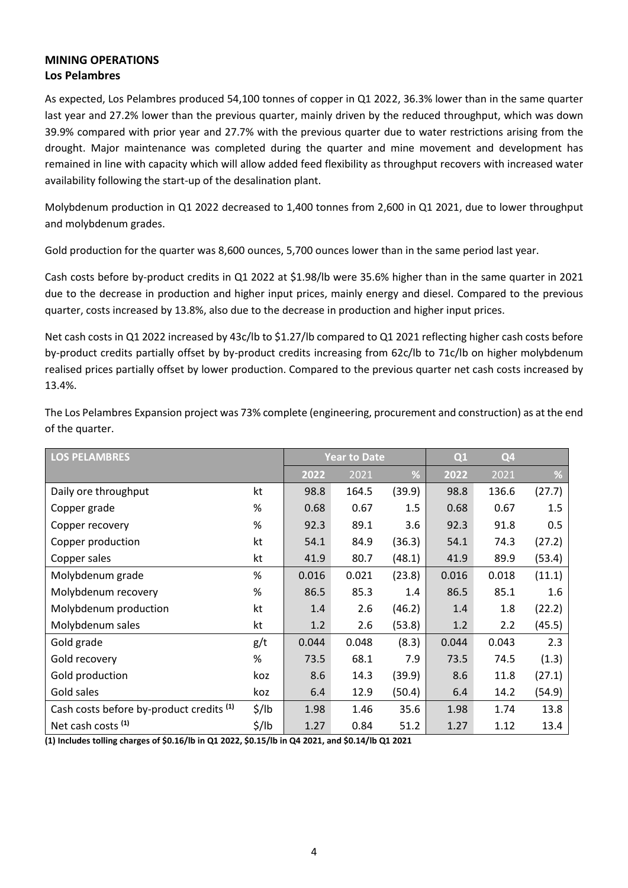## **MINING OPERATIONS Los Pelambres**

As expected, Los Pelambres produced 54,100 tonnes of copper in Q1 2022, 36.3% lower than in the same quarter last year and 27.2% lower than the previous quarter, mainly driven by the reduced throughput, which was down 39.9% compared with prior year and 27.7% with the previous quarter due to water restrictions arising from the drought. Major maintenance was completed during the quarter and mine movement and development has remained in line with capacity which will allow added feed flexibility as throughput recovers with increased water availability following the start-up of the desalination plant.

Molybdenum production in Q1 2022 decreased to 1,400 tonnes from 2,600 in Q1 2021, due to lower throughput and molybdenum grades.

Gold production for the quarter was 8,600 ounces, 5,700 ounces lower than in the same period last year.

Cash costs before by-product credits in Q1 2022 at \$1.98/lb were 35.6% higher than in the same quarter in 2021 due to the decrease in production and higher input prices, mainly energy and diesel. Compared to the previous quarter, costs increased by 13.8%, also due to the decrease in production and higher input prices.

Net cash costs in Q1 2022 increased by 43c/lb to \$1.27/lb compared to Q1 2021 reflecting higher cash costs before by-product credits partially offset by by-product credits increasing from 62c/lb to 71c/lb on higher molybdenum realised prices partially offset by lower production. Compared to the previous quarter net cash costs increased by 13.4%.

| LOS PELAMBRES                                       |                   |       | <b>Year to Date</b> |        | Q1    | Q <sub>4</sub> |        |
|-----------------------------------------------------|-------------------|-------|---------------------|--------|-------|----------------|--------|
|                                                     |                   | 2022  | 2021                | %      | 2022  | 2021           | %      |
| Daily ore throughput                                | kt                | 98.8  | 164.5               | (39.9) | 98.8  | 136.6          | (27.7) |
| Copper grade                                        | %                 | 0.68  | 0.67                | 1.5    | 0.68  | 0.67           | 1.5    |
| Copper recovery                                     | %                 | 92.3  | 89.1                | 3.6    | 92.3  | 91.8           | 0.5    |
| Copper production                                   | kt                | 54.1  | 84.9                | (36.3) | 54.1  | 74.3           | (27.2) |
| Copper sales                                        | kt                | 41.9  | 80.7                | (48.1) | 41.9  | 89.9           | (53.4) |
| Molybdenum grade                                    | %                 | 0.016 | 0.021               | (23.8) | 0.016 | 0.018          | (11.1) |
| Molybdenum recovery                                 | $\%$              | 86.5  | 85.3                | 1.4    | 86.5  | 85.1           | 1.6    |
| Molybdenum production                               | kt                | 1.4   | 2.6                 | (46.2) | 1.4   | 1.8            | (22.2) |
| Molybdenum sales                                    | kt                | 1.2   | 2.6                 | (53.8) | 1.2   | 2.2            | (45.5) |
| Gold grade                                          | g/t               | 0.044 | 0.048               | (8.3)  | 0.044 | 0.043          | 2.3    |
| Gold recovery                                       | %                 | 73.5  | 68.1                | 7.9    | 73.5  | 74.5           | (1.3)  |
| Gold production                                     | koz               | 8.6   | 14.3                | (39.9) | 8.6   | 11.8           | (27.1) |
| Gold sales                                          | koz               | 6.4   | 12.9                | (50.4) | 6.4   | 14.2           | (54.9) |
| Cash costs before by-product credits <sup>(1)</sup> | $\frac{2}{3}$ /lb | 1.98  | 1.46                | 35.6   | 1.98  | 1.74           | 13.8   |
| Net cash costs <sup>(1)</sup>                       | $\frac{1}{2}$ /lb | 1.27  | 0.84                | 51.2   | 1.27  | 1.12           | 13.4   |

The Los Pelambres Expansion project was 73% complete (engineering, procurement and construction) as at the end of the quarter.

**(1) Includes tolling charges of \$0.16/lb in Q1 2022, \$0.15/lb in Q4 2021, and \$0.14/lb Q1 2021**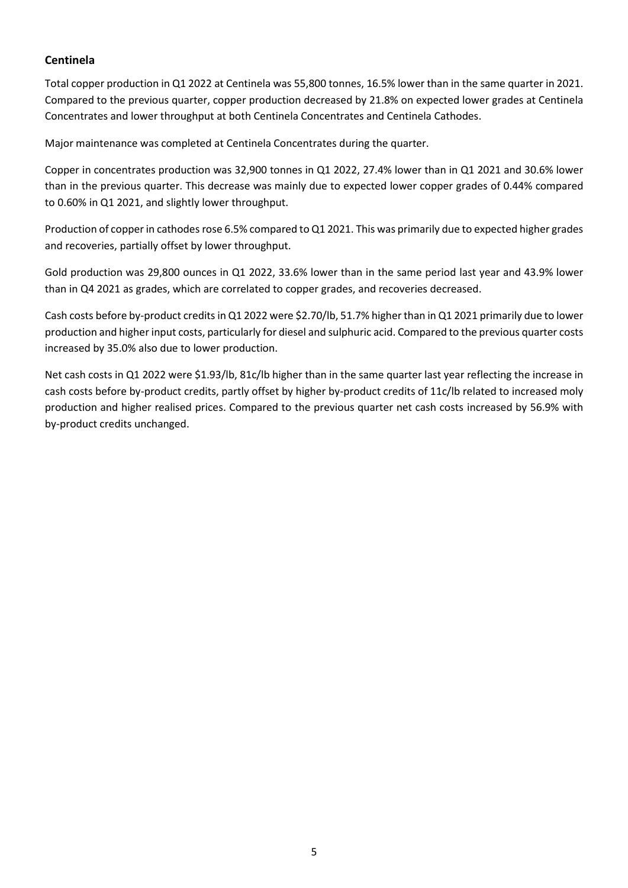### **Centinela**

Total copper production in Q1 2022 at Centinela was 55,800 tonnes, 16.5% lower than in the same quarter in 2021. Compared to the previous quarter, copper production decreased by 21.8% on expected lower grades at Centinela Concentrates and lower throughput at both Centinela Concentrates and Centinela Cathodes.

Major maintenance was completed at Centinela Concentrates during the quarter.

Copper in concentrates production was 32,900 tonnes in Q1 2022, 27.4% lower than in Q1 2021 and 30.6% lower than in the previous quarter. This decrease was mainly due to expected lower copper grades of 0.44% compared to 0.60% in Q1 2021, and slightly lower throughput.

Production of copper in cathodes rose 6.5% compared to Q1 2021. This was primarily due to expected higher grades and recoveries, partially offset by lower throughput.

Gold production was 29,800 ounces in Q1 2022, 33.6% lower than in the same period last year and 43.9% lower than in Q4 2021 as grades, which are correlated to copper grades, and recoveries decreased.

Cash costs before by-product credits in Q1 2022 were \$2.70/lb, 51.7% higher than in Q1 2021 primarily due to lower production and higher input costs, particularly for diesel and sulphuric acid. Compared to the previous quarter costs increased by 35.0% also due to lower production.

Net cash costs in Q1 2022 were \$1.93/lb, 81c/lb higher than in the same quarter last year reflecting the increase in cash costs before by-product credits, partly offset by higher by-product credits of 11c/lb related to increased moly production and higher realised prices. Compared to the previous quarter net cash costs increased by 56.9% with by-product credits unchanged.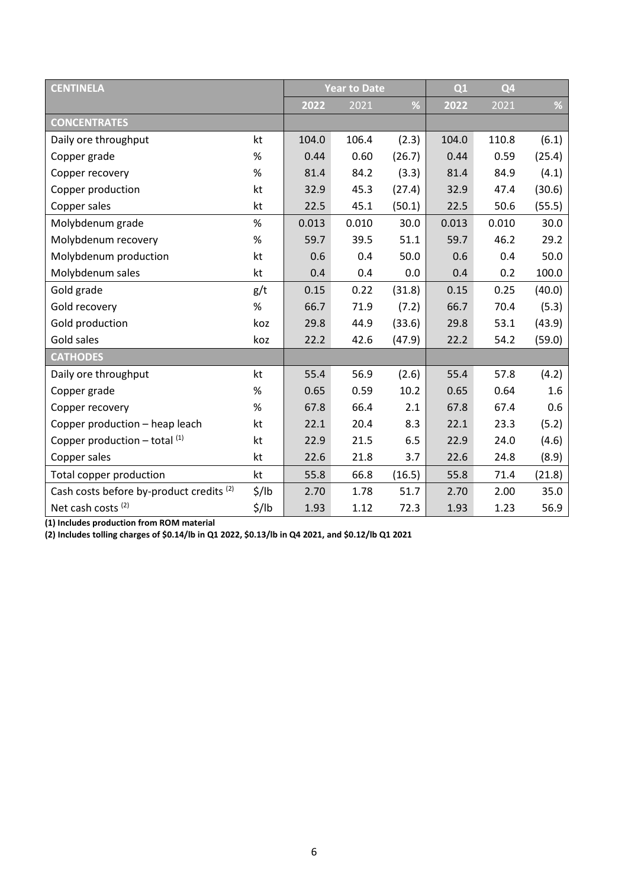| <b>CENTINELA</b>                                    |                   |       | <b>Year to Date</b> |        |       | Q4    |        |
|-----------------------------------------------------|-------------------|-------|---------------------|--------|-------|-------|--------|
|                                                     |                   | 2022  | 2021                | %      | 2022  | 2021  | $\%$   |
| <b>CONCENTRATES</b>                                 |                   |       |                     |        |       |       |        |
| Daily ore throughput                                | kt                | 104.0 | 106.4               | (2.3)  | 104.0 | 110.8 | (6.1)  |
| Copper grade                                        | $\%$              | 0.44  | 0.60                | (26.7) | 0.44  | 0.59  | (25.4) |
| Copper recovery                                     | $\%$              | 81.4  | 84.2                | (3.3)  | 81.4  | 84.9  | (4.1)  |
| Copper production                                   | kt                | 32.9  | 45.3                | (27.4) | 32.9  | 47.4  | (30.6) |
| Copper sales                                        | kt                | 22.5  | 45.1                | (50.1) | 22.5  | 50.6  | (55.5) |
| Molybdenum grade                                    | $\%$              | 0.013 | 0.010               | 30.0   | 0.013 | 0.010 | 30.0   |
| Molybdenum recovery                                 | $\%$              | 59.7  | 39.5                | 51.1   | 59.7  | 46.2  | 29.2   |
| Molybdenum production                               | kt                | 0.6   | 0.4                 | 50.0   | 0.6   | 0.4   | 50.0   |
| Molybdenum sales                                    | kt                | 0.4   | 0.4                 | 0.0    | 0.4   | 0.2   | 100.0  |
| Gold grade                                          | g/t               | 0.15  | 0.22                | (31.8) | 0.15  | 0.25  | (40.0) |
| Gold recovery                                       | $\%$              | 66.7  | 71.9                | (7.2)  | 66.7  | 70.4  | (5.3)  |
| Gold production                                     | koz               | 29.8  | 44.9                | (33.6) | 29.8  | 53.1  | (43.9) |
| Gold sales                                          | koz               | 22.2  | 42.6                | (47.9) | 22.2  | 54.2  | (59.0) |
| <b>CATHODES</b>                                     |                   |       |                     |        |       |       |        |
| Daily ore throughput                                | kt                | 55.4  | 56.9                | (2.6)  | 55.4  | 57.8  | (4.2)  |
| Copper grade                                        | $\%$              | 0.65  | 0.59                | 10.2   | 0.65  | 0.64  | 1.6    |
| Copper recovery                                     | $\%$              | 67.8  | 66.4                | 2.1    | 67.8  | 67.4  | 0.6    |
| Copper production - heap leach                      | kt                | 22.1  | 20.4                | 8.3    | 22.1  | 23.3  | (5.2)  |
| Copper production $-$ total $(1)$                   | kt                | 22.9  | 21.5                | 6.5    | 22.9  | 24.0  | (4.6)  |
| Copper sales                                        | kt                | 22.6  | 21.8                | 3.7    | 22.6  | 24.8  | (8.9)  |
| Total copper production                             | kt                | 55.8  | 66.8                | (16.5) | 55.8  | 71.4  | (21.8) |
| Cash costs before by-product credits <sup>(2)</sup> | $\frac{1}{2}$ /lb | 2.70  | 1.78                | 51.7   | 2.70  | 2.00  | 35.0   |
| Net cash costs <sup>(2)</sup>                       | $\frac{1}{2}$ /lb | 1.93  | 1.12                | 72.3   | 1.93  | 1.23  | 56.9   |

**(1) Includes production from ROM material**

**(2) Includes tolling charges of \$0.14/lb in Q1 2022, \$0.13/lb in Q4 2021, and \$0.12/lb Q1 2021**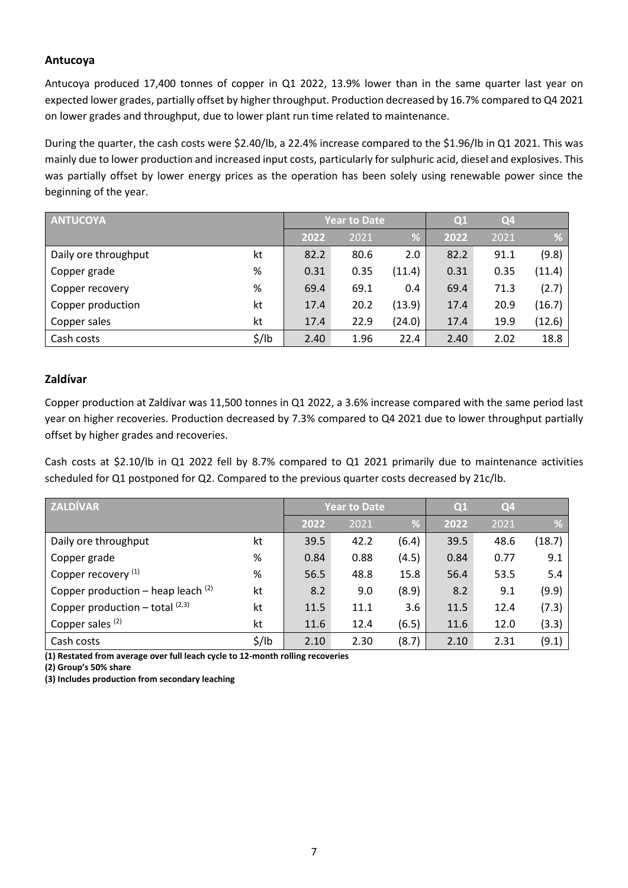#### **Antucoya**

Antucoya produced 17,400 tonnes of copper in Q1 2022, 13.9% lower than in the same quarter last year on expected lower grades, partially offset by higher throughput. Production decreased by 16.7% compared to Q4 2021 on lower grades and throughput, due to lower plant run time related to maintenance.

During the quarter, the cash costs were \$2.40/lb, a 22.4% increase compared to the \$1.96/lb in Q1 2021. This was mainly due to lower production and increased input costs, particularly for sulphuric acid, diesel and explosives. This was partially offset by lower energy prices as the operation has been solely using renewable power since the beginning of the year.

| <b>ANTUCOYA</b>      |                   |      | <b>Year to Date</b> |        | Q1   | Q <sub>4</sub> |        |
|----------------------|-------------------|------|---------------------|--------|------|----------------|--------|
|                      |                   | 2022 | 2021                | %      | 2022 | 2021           | %      |
| Daily ore throughput | kt                | 82.2 | 80.6                | 2.0    | 82.2 | 91.1           | (9.8)  |
| Copper grade         | %                 | 0.31 | 0.35                | (11.4) | 0.31 | 0.35           | (11.4) |
| Copper recovery      | %                 | 69.4 | 69.1                | 0.4    | 69.4 | 71.3           | (2.7)  |
| Copper production    | kt                | 17.4 | 20.2                | (13.9) | 17.4 | 20.9           | (16.7) |
| Copper sales         | kt                | 17.4 | 22.9                | (24.0) | 17.4 | 19.9           | (12.6) |
| Cash costs           | $\frac{1}{2}$ /lb | 2.40 | 1.96                | 22.4   | 2.40 | 2.02           | 18.8   |

#### **Zaldívar**

Copper production at Zaldívar was 11,500 tonnes in Q1 2022, a 3.6% increase compared with the same period last year on higher recoveries. Production decreased by 7.3% compared to Q4 2021 due to lower throughput partially offset by higher grades and recoveries.

Cash costs at \$2.10/lb in Q1 2022 fell by 8.7% compared to Q1 2021 primarily due to maintenance activities scheduled for Q1 postponed for Q2. Compared to the previous quarter costs decreased by 21c/lb.

| <b>ZALDÍVAR</b>                      |                   |      | <b>Year to Date</b> |       | Q1   | Q <sub>4</sub> |        |
|--------------------------------------|-------------------|------|---------------------|-------|------|----------------|--------|
|                                      |                   | 2022 | 2021                | %     | 2022 | 2021           | %      |
| Daily ore throughput                 | kt                | 39.5 | 42.2                | (6.4) | 39.5 | 48.6           | (18.7) |
| Copper grade                         | $\%$              | 0.84 | 0.88                | (4.5) | 0.84 | 0.77           | 9.1    |
| Copper recovery <sup>(1)</sup>       | %                 | 56.5 | 48.8                | 15.8  | 56.4 | 53.5           | 5.4    |
| Copper production – heap leach $(2)$ | kt                | 8.2  | 9.0                 | (8.9) | 8.2  | 9.1            | (9.9)  |
| Copper production $-$ total $(2,3)$  | kt                | 11.5 | 11.1                | 3.6   | 11.5 | 12.4           | (7.3)  |
| Copper sales <sup>(2)</sup>          | kt                | 11.6 | 12.4                | (6.5) | 11.6 | 12.0           | (3.3)  |
| Cash costs                           | $\frac{1}{2}$ /lb | 2.10 | 2.30                | (8.7) | 2.10 | 2.31           | (9.1)  |

**(1) Restated from average over full leach cycle to 12-month rolling recoveries** 

**(2) Group's 50% share**

**(3) Includes production from secondary leaching**